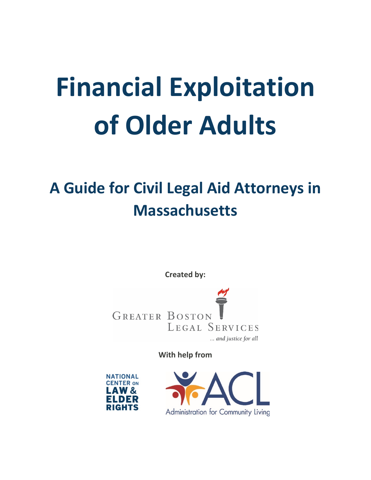# **Financial Exploitation of Older Adults**

# **A Guide for Civil Legal Aid Attorneys in Massachusetts**

**Created by:**

**GREATER BOSTON** LEGAL SERVICES ... and justice for all

**With help from**



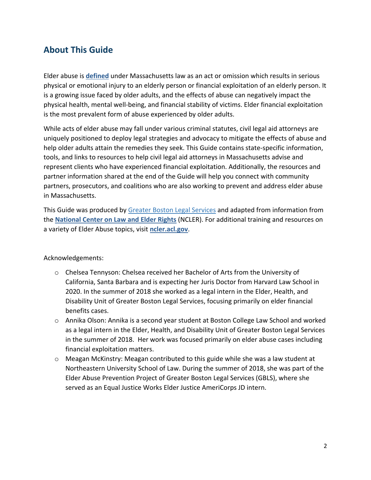# **About This Guide**

Elder abuse is **[defined](https://malegislature.gov/Laws/GeneralLaws/PartI/TitleII/Chapter19A/Section14)** under Massachusetts law as an act or omission which results in serious physical or emotional injury to an elderly person or financial exploitation of an elderly person. It is a growing issue faced by older adults, and the effects of abuse can negatively impact the physical health, mental well-being, and financial stability of victims. Elder financial exploitation is the most prevalent form of abuse experienced by older adults.

While acts of elder abuse may fall under various criminal statutes, civil legal aid attorneys are uniquely positioned to deploy legal strategies and advocacy to mitigate the effects of abuse and help older adults attain the remedies they seek. This Guide contains state-specific information, tools, and links to resources to help civil legal aid attorneys in Massachusetts advise and represent clients who have experienced financial exploitation. Additionally, the resources and partner information shared at the end of the Guide will help you connect with community partners, prosecutors, and coalitions who are also working to prevent and address elder abuse in Massachusetts.

This Guide was produced by [Greater Boston Legal Services](https://elderjusticegbls.wordpress.com/) and adapted from information from the **[National Center on Law and Elder Rights](https://ncler.acl.gov/)** (NCLER). For additional training and resources on a variety of Elder Abuse topics, visit **[ncler.acl.gov](https://ncler.acl.gov/)**.

## Acknowledgements:

- o Chelsea Tennyson: Chelsea received her Bachelor of Arts from the University of California, Santa Barbara and is expecting her Juris Doctor from Harvard Law School in 2020. In the summer of 2018 she worked as a legal intern in the Elder, Health, and Disability Unit of Greater Boston Legal Services, focusing primarily on elder financial benefits cases.
- o Annika Olson: Annika is a second year student at Boston College Law School and worked as a legal intern in the Elder, Health, and Disability Unit of Greater Boston Legal Services in the summer of 2018. Her work was focused primarily on elder abuse cases including financial exploitation matters.
- $\circ$  Meagan McKinstry: Meagan contributed to this guide while she was a law student at Northeastern University School of Law. During the summer of 2018, she was part of the Elder Abuse Prevention Project of Greater Boston Legal Services (GBLS), where she served as an Equal Justice Works Elder Justice AmeriCorps JD intern.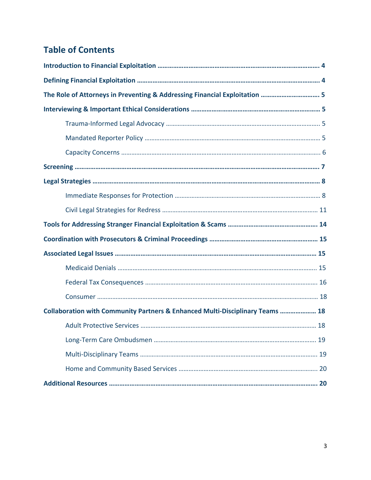# **Table of Contents**

| The Role of Attorneys in Preventing & Addressing Financial Exploitation  5    |  |
|-------------------------------------------------------------------------------|--|
|                                                                               |  |
|                                                                               |  |
|                                                                               |  |
|                                                                               |  |
|                                                                               |  |
|                                                                               |  |
|                                                                               |  |
|                                                                               |  |
|                                                                               |  |
|                                                                               |  |
|                                                                               |  |
|                                                                               |  |
|                                                                               |  |
|                                                                               |  |
| Collaboration with Community Partners & Enhanced Multi-Disciplinary Teams  18 |  |
|                                                                               |  |
|                                                                               |  |
|                                                                               |  |
|                                                                               |  |
|                                                                               |  |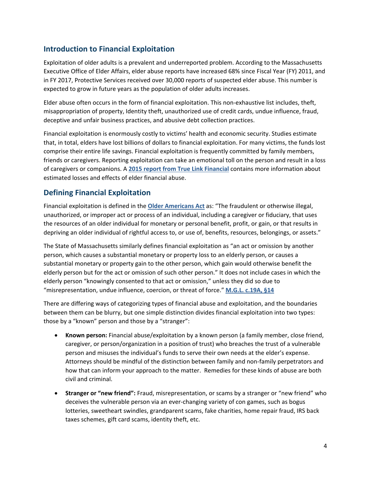# **Introduction to Financial Exploitation**

Exploitation of older adults is a prevalent and underreported problem. According to the Massachusetts Executive Office of Elder Affairs, elder abuse reports have increased 68% since Fiscal Year (FY) 2011, and in FY 2017, Protective Services received over 30,000 reports of suspected elder abuse. This number is expected to grow in future years as the population of older adults increases.

Elder abuse often occurs in the form of financial exploitation. This non-exhaustive list includes, theft, misappropriation of property, Identity theft, unauthorized use of credit cards, undue influence, fraud, deceptive and unfair business practices, and abusive debt collection practices.

Financial exploitation is enormously costly to victims' health and economic security. Studies estimate that, in total, elders have lost billions of dollars to financial exploitation. For many victims, the funds lost comprise their entire life savings. Financial exploitation is frequently committed by family members, friends or caregivers. Reporting exploitation can take an emotional toll on the person and result in a loss of caregivers or companions. A **[2015 report from True Link Financial](https://www.truelinkfinancial.com/research)** contains more information about estimated losses and effects of elder financial abuse.

# **Defining Financial Exploitation**

Financial exploitation is defined in the **[Older Americans Act](https://www.acl.gov/about-acl/authorizing-statutes/older-americans-act)** as: "The fraudulent or otherwise illegal, unauthorized, or improper act or process of an individual, including a caregiver or fiduciary, that uses the resources of an older individual for monetary or personal benefit, profit, or gain, or that results in depriving an older individual of rightful access to, or use of, benefits, resources, belongings, or assets."

The State of Massachusetts similarly defines financial exploitation as "an act or omission by another person, which causes a substantial monetary or property loss to an elderly person, or causes a substantial monetary or property gain to the other person, which gain would otherwise benefit the elderly person but for the act or omission of such other person." It does not include cases in which the elderly person "knowingly consented to that act or omission," unless they did so due to "misrepresentation, undue influence, coercion, or threat of force." **[M.G.L. c.19A, §14](https://www.justice.gov/elderjustice/prosecutors/statutes?page=1)**

There are differing ways of categorizing types of financial abuse and exploitation, and the boundaries between them can be blurry, but one simple distinction divides financial exploitation into two types: those by a "known" person and those by a "stranger":

- **Known person:** Financial abuse/exploitation by a known person (a family member, close friend, caregiver, or person/organization in a position of trust) who breaches the trust of a vulnerable person and misuses the individual's funds to serve their own needs at the elder's expense. Attorneys should be mindful of the distinction between family and non-family perpetrators and how that can inform your approach to the matter. Remedies for these kinds of abuse are both civil and criminal.
- **Stranger or "new friend":** Fraud, misrepresentation, or scams by a stranger or "new friend" who deceives the vulnerable person via an ever-changing variety of con games, such as bogus lotteries, sweetheart swindles, grandparent scams, fake charities, home repair fraud, IRS back taxes schemes, gift card scams, identity theft, etc.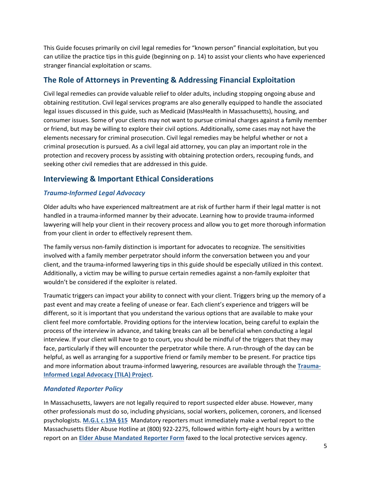This Guide focuses primarily on civil legal remedies for "known person" financial exploitation, but you can utilize the practice tips in this guide (beginning on p. 14) to assist your clients who have experienced stranger financial exploitation or scams.

# **The Role of Attorneys in Preventing & Addressing Financial Exploitation**

Civil legal remedies can provide valuable relief to older adults, including stopping ongoing abuse and obtaining restitution. Civil legal services programs are also generally equipped to handle the associated legal issues discussed in this guide, such as Medicaid (MassHealth in Massachusetts), housing, and consumer issues. Some of your clients may not want to pursue criminal charges against a family member or friend, but may be willing to explore their civil options. Additionally, some cases may not have the elements necessary for criminal prosecution. Civil legal remedies may be helpful whether or not a criminal prosecution is pursued. As a civil legal aid attorney, you can play an important role in the protection and recovery process by assisting with obtaining protection orders, recouping funds, and seeking other civil remedies that are addressed in this guide.

# **Interviewing & Important Ethical Considerations**

#### *Trauma-Informed Legal Advocacy*

Older adults who have experienced maltreatment are at risk of further harm if their legal matter is not handled in a trauma-informed manner by their advocate. Learning how to provide trauma-informed lawyering will help your client in their recovery process and allow you to get more thorough information from your client in order to effectively represent them.

The family versus non-family distinction is important for advocates to recognize. The sensitivities involved with a family member perpetrator should inform the conversation between you and your client, and the trauma-informed lawyering tips in this guide should be especially utilized in this context. Additionally, a victim may be willing to pursue certain remedies against a non-family exploiter that wouldn't be considered if the exploiter is related.

Traumatic triggers can impact your ability to connect with your client. Triggers bring up the memory of a past event and may create a feeling of unease or fear. Each client's experience and triggers will be different, so it is important that you understand the various options that are available to make your client feel more comfortable. Providing options for the interview location, being careful to explain the process of the interview in advance, and taking breaks can all be beneficial when conducting a legal interview. If your client will have to go to court, you should be mindful of the triggers that they may face, particularly if they will encounter the perpetrator while there. A run-through of the day can be helpful, as well as arranging for a supportive friend or family member to be present. For practice tips and more information about trauma-informed lawyering, resources are available through the **[Trauma-](http://www.nationalcenterdvtraumamh.org/trainingta/trauma-informed-legal-advocacy-tila-project/)[Informed Legal Advocacy \(TILA\) Project](http://www.nationalcenterdvtraumamh.org/trainingta/trauma-informed-legal-advocacy-tila-project/)**.

#### *Mandated Reporter Policy*

In Massachusetts, lawyers are not legally required to report suspected elder abuse. However, many other professionals must do so, including physicians, social workers, policemen, coroners, and licensed psychologists. **[M.G.L c.19A §15](https://malegislature.gov/Laws/GeneralLaws/PartI/TitleII/Chapter19A/Section15)** Mandatory reporters must immediately make a verbal report to the Massachusetts Elder Abuse Hotline at (800) 922-2275, followed within forty-eight hours by a written report on an **[Elder Abuse Mandated Reporter Form](https://www.mass.gov/files/documents/2017/09/29/Elder-Abuse-Mandated-Reporter-Form_Fill%20in_0.pdf)** faxed to the local protective services agency.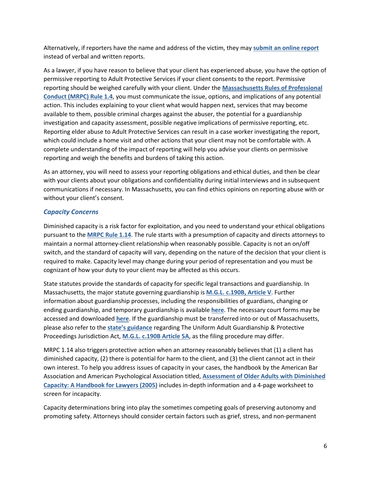Alternatively, if reporters have the name and address of the victim, they may **[submit an online report](https://www.mass.gov/service-details/instructions-for-online-reporting)** instead of verbal and written reports.

As a lawyer, if you have reason to believe that your client has experienced abuse, you have the option of permissive reporting to Adult Protective Services if your client consents to the report. Permissive reporting should be weighed carefully with your client. Under the **[Massachusetts Rules of Professional](https://www.mass.gov/supreme-judicial-court-rules/rules-of-professional-conduct-rule-14-communication)  [Conduct \(MRPC\) Rule 1.4](https://www.mass.gov/supreme-judicial-court-rules/rules-of-professional-conduct-rule-14-communication)**, you must communicate the issue, options, and implications of any potential action. This includes explaining to your client what would happen next, services that may become available to them, possible criminal charges against the abuser, the potential for a guardianship investigation and capacity assessment, possible negative implications of permissive reporting, etc. Reporting elder abuse to Adult Protective Services can result in a case worker investigating the report, which could include a home visit and other actions that your client may not be comfortable with. A complete understanding of the impact of reporting will help you advise your clients on permissive reporting and weigh the benefits and burdens of taking this action.

As an attorney, you will need to assess your reporting obligations and ethical duties, and then be clear with your clients about your obligations and confidentiality during initial interviews and in subsequent communications if necessary. In Massachusetts, you can find ethics opinions on reporting abuse with or without your client's consent.

#### *Capacity Concerns*

Diminished capacity is a risk factor for exploitation, and you need to understand your ethical obligations pursuant to the **[MRPC Rule 1.14](https://www.mass.gov/supreme-judicial-court-rules/rules-of-professional-conduct-rule-114-client-with-diminished-capacity)**. The rule starts with a presumption of capacity and directs attorneys to maintain a normal attorney-client relationship when reasonably possible. Capacity is not an on/off switch, and the standard of capacity will vary, depending on the nature of the decision that your client is required to make. Capacity level may change during your period of representation and you must be cognizant of how your duty to your client may be affected as this occurs.

State statutes provide the standards of capacity for specific legal transactions and guardianship. In Massachusetts, the major statute governing guardianship is **[M.G.L. c.190B, Article V](https://malegislature.gov/Laws/GeneralLaws/PartII/TitleII/Chapter190B/ArticleV)**. Further information about guardianship processes, including the responsibilities of guardians, changing or ending guardianship, and temporary guardianship is available **[here](https://www.mass.gov/guardianship-conservatorship-of-incapacitated-persons)**. The necessary court forms may be accessed and downloaded **[here](https://www.mass.gov/lists/court-forms-for-guardianship-of-adults-conservatorship)**. If the guardianship must be transferred into or out of Massachusetts, please also refer to the **[state's guidance](https://www.mass.gov/actions-filed-under-the-uniform-adult-guardianship-protective-proceedings-jurisdiction-act)** regarding The Uniform Adult Guardianship & Protective Proceedings Jurisdiction Act, **[M.G.L. c.190B Article 5A](https://malegislature.gov/Laws/GeneralLaws/PartII/TitleII/Chapter190B/Article5A)**, as the filing procedure may differ.

MRPC 1.14 also triggers protective action when an attorney reasonably believes that (1) a client has diminished capacity, (2) there is potential for harm to the client, and (3) the client cannot act in their own interest. To help you address issues of capacity in your cases, the handbook by the American Bar Association and American Psychological Association titled, **[Assessment of Older Adults with Diminished](https://www.americanbar.org/groups/law_aging/resources/capacity_assessment.html)  [Capacity: A Handbook for Lawyers \(2005\)](https://www.americanbar.org/groups/law_aging/resources/capacity_assessment.html)** includes in-depth information and a 4-page worksheet to screen for incapacity.

Capacity determinations bring into play the sometimes competing goals of preserving autonomy and promoting safety. Attorneys should consider certain factors such as grief, stress, and non-permanent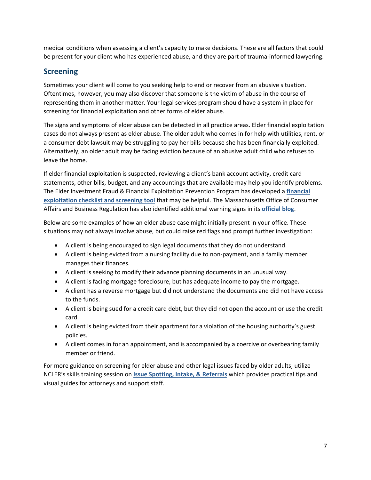medical conditions when assessing a client's capacity to make decisions. These are all factors that could be present for your client who has experienced abuse, and they are part of trauma-informed lawyering.

# **Screening**

Sometimes your client will come to you seeking help to end or recover from an abusive situation. Oftentimes, however, you may also discover that someone is the victim of abuse in the course of representing them in another matter. Your legal services program should have a system in place for screening for financial exploitation and other forms of elder abuse.

The signs and symptoms of elder abuse can be detected in all practice areas. Elder financial exploitation cases do not always present as elder abuse. The older adult who comes in for help with utilities, rent, or a consumer debt lawsuit may be struggling to pay her bills because she has been financially exploited. Alternatively, an older adult may be facing eviction because of an abusive adult child who refuses to leave the home.

If elder financial exploitation is suspected, reviewing a client's bank account activity, credit card statements, other bills, budget, and any accountings that are available may help you identify problems. The Elder Investment Fraud & Financial Exploitation Prevention Program has developed a **[financial](https://www.maine.gov/pfr/securities/documents/Checklist%20for%20Lawyers.pdf)  [exploitation checklist and screening tool](https://www.maine.gov/pfr/securities/documents/Checklist%20for%20Lawyers.pdf)** that may be helpful. The Massachusetts Office of Consumer Affairs and Business Regulation has also identified additional warning signs in its **official blog**.

Below are some examples of how an elder abuse case might initially present in your office. These situations may not always involve abuse, but could raise red flags and prompt further investigation:

- A client is being encouraged to sign legal documents that they do not understand.
- A client is being evicted from a nursing facility due to non-payment, and a family member manages their finances.
- A client is seeking to modify their advance planning documents in an unusual way.
- A client is facing mortgage foreclosure, but has adequate income to pay the mortgage.
- A client has a reverse mortgage but did not understand the documents and did not have access to the funds.
- A client is being sued for a credit card debt, but they did not open the account or use the credit card.
- A client is being evicted from their apartment for a violation of the housing authority's guest policies.
- A client comes in for an appointment, and is accompanied by a coercive or overbearing family member or friend.

For more guidance on screening for elder abuse and other legal issues faced by older adults, utilize NCLER's skills training session on **[Issue Spotting, Intake, & Referrals](https://ncler.acl.gov/Files/Legal-Issue-Spotting,-Intake-Referrals-Practice-Gu.aspx)** which provides practical tips and visual guides for attorneys and support staff.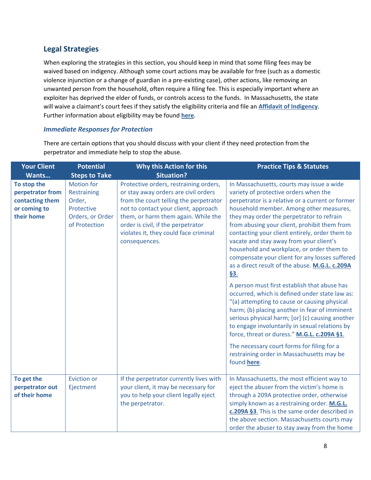# **Legal Strategies**

When exploring the strategies in this section, you should keep in mind that some filing fees may be waived based on indigency. Although some court actions may be available for free (such as a domestic violence injunction or a change of guardian in a pre-existing case), other actions, like removing an unwanted person from the household, often require a filing fee. This is especially important where an exploiter has deprived the elder of funds, or controls access to the funds. In Massachusetts, the state will waive a claimant's court fees if they satisfy the eligibility criteria and file an **[Affidavit of Indigency](https://www.mass.gov/lists/court-forms-for-indigency)**. Further information about eligibility may be found **[here](https://www.mass.gov/service-details/eligibility-requirements-for-indigency-waiver-of-fees)**.

#### *Immediate Responses for Protection*

There are certain options that you should discuss with your client if they need protection from the perpetrator and immediate help to stop the abuse.

| <b>Your Client</b>                                                               | <b>Potential</b>                                                                              | Why this Action for this                                                                                                                                                                                                                                                                                | <b>Practice Tips &amp; Statutes</b>                                                                                                                                                                                                                                                                                                                                                                                                                                                                                                 |
|----------------------------------------------------------------------------------|-----------------------------------------------------------------------------------------------|---------------------------------------------------------------------------------------------------------------------------------------------------------------------------------------------------------------------------------------------------------------------------------------------------------|-------------------------------------------------------------------------------------------------------------------------------------------------------------------------------------------------------------------------------------------------------------------------------------------------------------------------------------------------------------------------------------------------------------------------------------------------------------------------------------------------------------------------------------|
| Wants                                                                            | <b>Steps to Take</b>                                                                          | <b>Situation?</b>                                                                                                                                                                                                                                                                                       |                                                                                                                                                                                                                                                                                                                                                                                                                                                                                                                                     |
| To stop the<br>perpetrator from<br>contacting them<br>or coming to<br>their home | <b>Motion for</b><br>Restraining<br>Order,<br>Protective<br>Orders, or Order<br>of Protection | Protective orders, restraining orders,<br>or stay away orders are civil orders<br>from the court telling the perpetrator<br>not to contact your client, approach<br>them, or harm them again. While the<br>order is civil, if the perpetrator<br>violates it, they could face criminal<br>consequences. | In Massachusetts, courts may issue a wide<br>variety of protective orders when the<br>perpetrator is a relative or a current or former<br>household member. Among other measures,<br>they may order the perpetrator to refrain<br>from abusing your client, prohibit them from<br>contacting your client entirely, order them to<br>vacate and stay away from your client's<br>household and workplace, or order them to<br>compensate your client for any losses suffered<br>as a direct result of the abuse. M.G.L. c.209A<br>§3. |
|                                                                                  |                                                                                               |                                                                                                                                                                                                                                                                                                         | A person must first establish that abuse has<br>occurred, which is defined under state law as:<br>"(a) attempting to cause or causing physical<br>harm; (b) placing another in fear of imminent<br>serious physical harm; [or] (c) causing another<br>to engage involuntarily in sexual relations by<br>force, threat or duress." M.G.L. c.209A §1.                                                                                                                                                                                 |
|                                                                                  |                                                                                               |                                                                                                                                                                                                                                                                                                         | The necessary court forms for filing for a<br>restraining order in Massachusetts may be<br>found here.                                                                                                                                                                                                                                                                                                                                                                                                                              |
| To get the<br>perpetrator out<br>of their home                                   | <b>Eviction or</b><br>Ejectment                                                               | If the perpetrator currently lives with<br>your client, it may be necessary for<br>you to help your client legally eject<br>the perpetrator.                                                                                                                                                            | In Massachusetts, the most efficient way to<br>eject the abuser from the victim's home is<br>through a 209A protective order, otherwise<br>simply known as a restraining order. M.G.L.<br>c.209A §3. This is the same order described in<br>the above section. Massachusetts courts may<br>order the abuser to stay away from the home                                                                                                                                                                                              |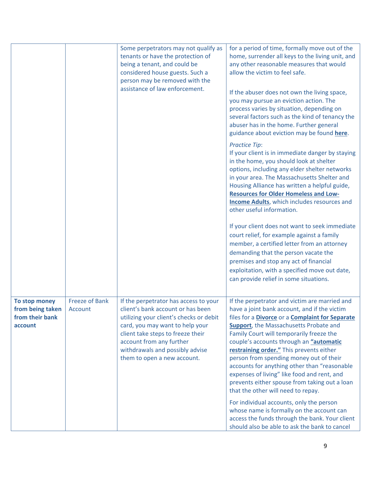|                                                                 |                                  | Some perpetrators may not qualify as<br>tenants or have the protection of<br>being a tenant, and could be<br>considered house guests. Such a<br>person may be removed with the<br>assistance of law enforcement.                                                                            | for a period of time, formally move out of the<br>home, surrender all keys to the living unit, and<br>any other reasonable measures that would<br>allow the victim to feel safe.<br>If the abuser does not own the living space,<br>you may pursue an eviction action. The<br>process varies by situation, depending on<br>several factors such as the kind of tenancy the<br>abuser has in the home. Further general<br>guidance about eviction may be found here.<br><b>Practice Tip:</b><br>If your client is in immediate danger by staying<br>in the home, you should look at shelter<br>options, including any elder shelter networks<br>in your area. The Massachusetts Shelter and<br>Housing Alliance has written a helpful guide,<br><b>Resources for Older Homeless and Low-</b><br><b>Income Adults</b> , which includes resources and<br>other useful information.<br>If your client does not want to seek immediate<br>court relief, for example against a family<br>member, a certified letter from an attorney<br>demanding that the person vacate the<br>premises and stop any act of financial<br>exploitation, with a specified move out date,<br>can provide relief in some situations. |
|-----------------------------------------------------------------|----------------------------------|---------------------------------------------------------------------------------------------------------------------------------------------------------------------------------------------------------------------------------------------------------------------------------------------|-------------------------------------------------------------------------------------------------------------------------------------------------------------------------------------------------------------------------------------------------------------------------------------------------------------------------------------------------------------------------------------------------------------------------------------------------------------------------------------------------------------------------------------------------------------------------------------------------------------------------------------------------------------------------------------------------------------------------------------------------------------------------------------------------------------------------------------------------------------------------------------------------------------------------------------------------------------------------------------------------------------------------------------------------------------------------------------------------------------------------------------------------------------------------------------------------------------|
| To stop money<br>from being taken<br>from their bank<br>account | <b>Freeze of Bank</b><br>Account | If the perpetrator has access to your<br>client's bank account or has been<br>utilizing your client's checks or debit<br>card, you may want to help your<br>client take steps to freeze their<br>account from any further<br>withdrawals and possibly advise<br>them to open a new account. | If the perpetrator and victim are married and<br>have a joint bank account, and if the victim<br>files for a <b>Divorce</b> or a <b>Complaint for Separate</b><br>Support, the Massachusetts Probate and<br>Family Court will temporarily freeze the<br>couple's accounts through an "automatic<br>restraining order." This prevents either<br>person from spending money out of their<br>accounts for anything other than "reasonable<br>expenses of living" like food and rent, and<br>prevents either spouse from taking out a loan<br>that the other will need to repay.<br>For individual accounts, only the person<br>whose name is formally on the account can<br>access the funds through the bank. Your client<br>should also be able to ask the bank to cancel                                                                                                                                                                                                                                                                                                                                                                                                                                    |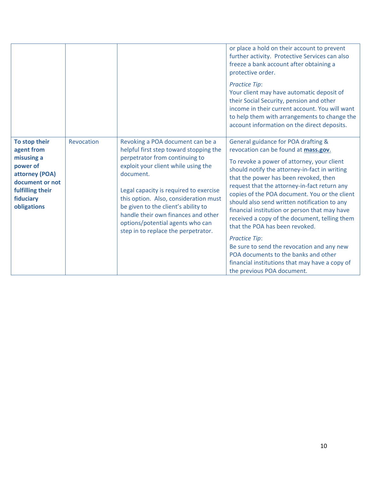|                                                                                                                                            |            |                                                                                                                                                                                                                                                                                                                                                                                                              | or place a hold on their account to prevent<br>further activity. Protective Services can also<br>freeze a bank account after obtaining a<br>protective order.<br><b>Practice Tip:</b><br>Your client may have automatic deposit of<br>their Social Security, pension and other<br>income in their current account. You will want<br>to help them with arrangements to change the<br>account information on the direct deposits.                                                                                                                                                                                                                                                                        |
|--------------------------------------------------------------------------------------------------------------------------------------------|------------|--------------------------------------------------------------------------------------------------------------------------------------------------------------------------------------------------------------------------------------------------------------------------------------------------------------------------------------------------------------------------------------------------------------|--------------------------------------------------------------------------------------------------------------------------------------------------------------------------------------------------------------------------------------------------------------------------------------------------------------------------------------------------------------------------------------------------------------------------------------------------------------------------------------------------------------------------------------------------------------------------------------------------------------------------------------------------------------------------------------------------------|
| To stop their<br>agent from<br>misusing a<br>power of<br>attorney (POA)<br>document or not<br>fulfilling their<br>fiduciary<br>obligations | Revocation | Revoking a POA document can be a<br>helpful first step toward stopping the<br>perpetrator from continuing to<br>exploit your client while using the<br>document.<br>Legal capacity is required to exercise<br>this option. Also, consideration must<br>be given to the client's ability to<br>handle their own finances and other<br>options/potential agents who can<br>step in to replace the perpetrator. | General guidance for POA drafting &<br>revocation can be found at mass.gov.<br>To revoke a power of attorney, your client<br>should notify the attorney-in-fact in writing<br>that the power has been revoked, then<br>request that the attorney-in-fact return any<br>copies of the POA document. You or the client<br>should also send written notification to any<br>financial institution or person that may have<br>received a copy of the document, telling them<br>that the POA has been revoked.<br><b>Practice Tip:</b><br>Be sure to send the revocation and any new<br>POA documents to the banks and other<br>financial institutions that may have a copy of<br>the previous POA document. |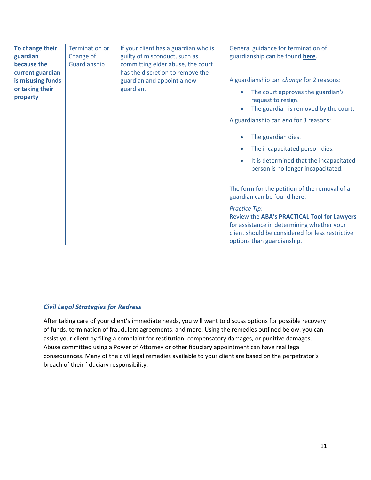| To change their<br>guardian | <b>Termination or</b><br>Change of | If your client has a guardian who is<br>guilty of misconduct, such as | General guidance for termination of<br>guardianship can be found here.                     |
|-----------------------------|------------------------------------|-----------------------------------------------------------------------|--------------------------------------------------------------------------------------------|
| because the                 | Guardianship                       | committing elder abuse, the court                                     |                                                                                            |
| current guardian            |                                    | has the discretion to remove the                                      |                                                                                            |
| is misusing funds           |                                    | guardian and appoint a new                                            | A guardianship can change for 2 reasons:                                                   |
| or taking their             |                                    | guardian.                                                             | The court approves the guardian's<br>$\bullet$                                             |
| property                    |                                    |                                                                       | request to resign.                                                                         |
|                             |                                    |                                                                       | The guardian is removed by the court.<br>$\bullet$                                         |
|                             |                                    |                                                                       | A guardianship can end for 3 reasons:                                                      |
|                             |                                    |                                                                       | The guardian dies.                                                                         |
|                             |                                    |                                                                       | The incapacitated person dies.<br>$\bullet$                                                |
|                             |                                    |                                                                       | It is determined that the incapacitated<br>$\bullet$<br>person is no longer incapacitated. |
|                             |                                    |                                                                       | The form for the petition of the removal of a<br>guardian can be found here.               |
|                             |                                    |                                                                       | <b>Practice Tip:</b>                                                                       |
|                             |                                    |                                                                       | Review the ABA's PRACTICAL Tool for Lawyers                                                |
|                             |                                    |                                                                       | for assistance in determining whether your                                                 |
|                             |                                    |                                                                       | client should be considered for less restrictive                                           |
|                             |                                    |                                                                       | options than guardianship.                                                                 |

## *Civil Legal Strategies for Redress*

After taking care of your client's immediate needs, you will want to discuss options for possible recovery of funds, termination of fraudulent agreements, and more. Using the remedies outlined below, you can assist your client by filing a complaint for restitution, compensatory damages, or punitive damages. Abuse committed using a Power of Attorney or other fiduciary appointment can have real legal consequences. Many of the civil legal remedies available to your client are based on the perpetrator's breach of their fiduciary responsibility.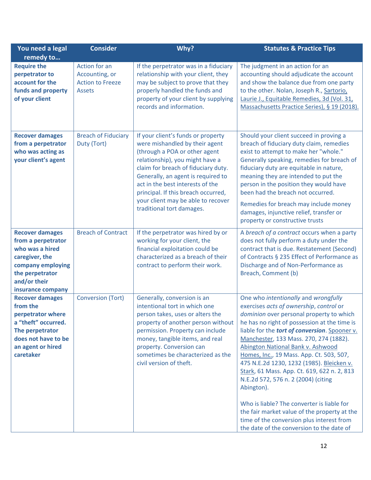| You need a legal                                                                                                                                               | <b>Consider</b>                                                             | Why?                                                                                                                                                                                                                                                                                                                                                                | <b>Statutes &amp; Practice Tips</b>                                                                                                                                                                                                                                                                                                                                                                                                                                                                                                                                                                                                                                                              |
|----------------------------------------------------------------------------------------------------------------------------------------------------------------|-----------------------------------------------------------------------------|---------------------------------------------------------------------------------------------------------------------------------------------------------------------------------------------------------------------------------------------------------------------------------------------------------------------------------------------------------------------|--------------------------------------------------------------------------------------------------------------------------------------------------------------------------------------------------------------------------------------------------------------------------------------------------------------------------------------------------------------------------------------------------------------------------------------------------------------------------------------------------------------------------------------------------------------------------------------------------------------------------------------------------------------------------------------------------|
| remedy to                                                                                                                                                      |                                                                             |                                                                                                                                                                                                                                                                                                                                                                     |                                                                                                                                                                                                                                                                                                                                                                                                                                                                                                                                                                                                                                                                                                  |
| <b>Require the</b><br>perpetrator to<br>account for the<br>funds and property<br>of your client                                                                | Action for an<br>Accounting, or<br><b>Action to Freeze</b><br><b>Assets</b> | If the perpetrator was in a fiduciary<br>relationship with your client, they<br>may be subject to prove that they<br>properly handled the funds and<br>property of your client by supplying<br>records and information.                                                                                                                                             | The judgment in an action for an<br>accounting should adjudicate the account<br>and show the balance due from one party<br>to the other. Nolan, Joseph R., Sartorio,<br>Laurie J., Equitable Remedies, 3d (Vol. 31,<br>Massachusetts Practice Series), § 19 (2018).                                                                                                                                                                                                                                                                                                                                                                                                                              |
| <b>Recover damages</b><br>from a perpetrator<br>who was acting as<br>your client's agent                                                                       | <b>Breach of Fiduciary</b><br>Duty (Tort)                                   | If your client's funds or property<br>were mishandled by their agent<br>(through a POA or other agent<br>relationship), you might have a<br>claim for breach of fiduciary duty.<br>Generally, an agent is required to<br>act in the best interests of the<br>principal. If this breach occurred,<br>your client may be able to recover<br>traditional tort damages. | Should your client succeed in proving a<br>breach of fiduciary duty claim, remedies<br>exist to attempt to make her "whole."<br>Generally speaking, remedies for breach of<br>fiduciary duty are equitable in nature,<br>meaning they are intended to put the<br>person in the position they would have<br>been had the breach not occurred.<br>Remedies for breach may include money<br>damages, injunctive relief, transfer or<br>property or constructive trusts                                                                                                                                                                                                                              |
| <b>Recover damages</b><br>from a perpetrator<br>who was a hired<br>caregiver, the<br>company employing<br>the perpetrator<br>and/or their<br>insurance company | <b>Breach of Contract</b>                                                   | If the perpetrator was hired by or<br>working for your client, the<br>financial exploitation could be<br>characterized as a breach of their<br>contract to perform their work.                                                                                                                                                                                      | A breach of a contract occurs when a party<br>does not fully perform a duty under the<br>contract that is due. Restatement (Second)<br>of Contracts § 235 Effect of Performance as<br>Discharge and of Non-Performance as<br>Breach, Comment (b)                                                                                                                                                                                                                                                                                                                                                                                                                                                 |
| <b>Recover damages</b><br>from the<br>perpetrator where<br>a "theft" occurred.<br>The perpetrator<br>does not have to be<br>an agent or hired<br>caretaker     | <b>Conversion (Tort)</b>                                                    | Generally, conversion is an<br>intentional tort in which one<br>person takes, uses or alters the<br>property of another person without<br>permission. Property can include<br>money, tangible items, and real<br>property. Conversion can<br>sometimes be characterized as the<br>civil version of theft.                                                           | One who intentionally and wrongfully<br>exercises acts of ownership, control or<br>dominion over personal property to which<br>he has no right of possession at the time is<br>liable for the tort of conversion. Spooner v.<br>Manchester, 133 Mass. 270, 274 (1882).<br>Abington National Bank v. Ashwood<br>Homes, Inc., 19 Mass. App. Ct. 503, 507,<br>475 N.E.2d 1230, 1232 (1985). Bleicken v.<br>Stark, 61 Mass. App. Ct. 619, 622 n. 2, 813<br>N.E.2d 572, 576 n. 2 (2004) (citing<br>Abington).<br>Who is liable? The converter is liable for<br>the fair market value of the property at the<br>time of the conversion plus interest from<br>the date of the conversion to the date of |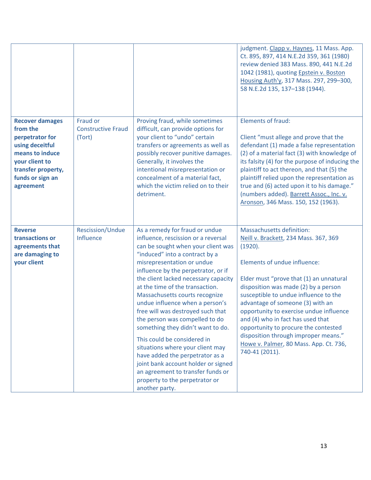|                                                                                                                                                                      |                                                 |                                                                                                                                                                                                                                                                                                                                                                                                                                                                                                                                                                                                                                                                                                                      | judgment. Clapp v. Haynes, 11 Mass. App.<br>Ct. 895, 897, 414 N.E.2d 359, 361 (1980)<br>review denied 383 Mass. 890, 441 N.E.2d<br>1042 (1981), quoting Epstein v. Boston<br>Housing Auth'y, 317 Mass. 297, 299-300,<br>58 N.E.2d 135, 137-138 (1944).                                                                                                                                                                                                                                                           |
|----------------------------------------------------------------------------------------------------------------------------------------------------------------------|-------------------------------------------------|----------------------------------------------------------------------------------------------------------------------------------------------------------------------------------------------------------------------------------------------------------------------------------------------------------------------------------------------------------------------------------------------------------------------------------------------------------------------------------------------------------------------------------------------------------------------------------------------------------------------------------------------------------------------------------------------------------------------|------------------------------------------------------------------------------------------------------------------------------------------------------------------------------------------------------------------------------------------------------------------------------------------------------------------------------------------------------------------------------------------------------------------------------------------------------------------------------------------------------------------|
| <b>Recover damages</b><br>from the<br>perpetrator for<br>using deceitful<br>means to induce<br>your client to<br>transfer property,<br>funds or sign an<br>agreement | Fraud or<br><b>Constructive Fraud</b><br>(Tort) | Proving fraud, while sometimes<br>difficult, can provide options for<br>your client to "undo" certain<br>transfers or agreements as well as<br>possibly recover punitive damages.<br>Generally, it involves the<br>intentional misrepresentation or<br>concealment of a material fact,<br>which the victim relied on to their<br>detriment.                                                                                                                                                                                                                                                                                                                                                                          | <b>Elements of fraud:</b><br>Client "must allege and prove that the<br>defendant (1) made a false representation<br>(2) of a material fact (3) with knowledge of<br>its falsity (4) for the purpose of inducing the<br>plaintiff to act thereon, and that (5) the<br>plaintiff relied upon the representation as<br>true and (6) acted upon it to his damage."<br>(numbers added). Barrett Assoc., Inc. v.<br>Aronson, 346 Mass. 150, 152 (1963).                                                                |
| <b>Reverse</b><br>transactions or<br>agreements that<br>are damaging to<br>your client                                                                               | Rescission/Undue<br>Influence                   | As a remedy for fraud or undue<br>influence, rescission or a reversal<br>can be sought when your client was<br>"induced" into a contract by a<br>misrepresentation or undue<br>influence by the perpetrator, or if<br>the client lacked necessary capacity<br>at the time of the transaction.<br>Massachusetts courts recognize<br>undue influence when a person's<br>free will was destroyed such that<br>the person was compelled to do<br>something they didn't want to do.<br>This could be considered in<br>situations where your client may<br>have added the perpetrator as a<br>joint bank account holder or signed<br>an agreement to transfer funds or<br>property to the perpetrator or<br>another party. | <b>Massachusetts definition:</b><br>Neill v. Brackett, 234 Mass. 367, 369<br>(1920).<br>Elements of undue influence:<br>Elder must "prove that (1) an unnatural<br>disposition was made (2) by a person<br>susceptible to undue influence to the<br>advantage of someone (3) with an<br>opportunity to exercise undue influence<br>and (4) who in fact has used that<br>opportunity to procure the contested<br>disposition through improper means."<br>Howe v. Palmer, 80 Mass. App. Ct. 736,<br>740-41 (2011). |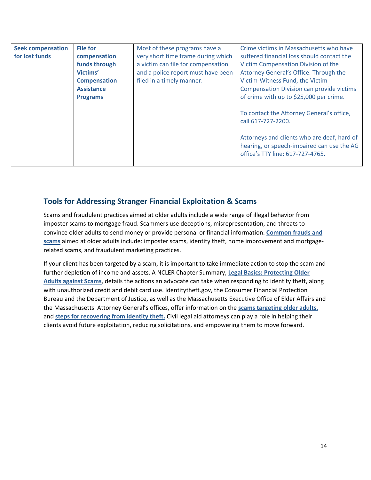| <b>Seek compensation</b><br>for lost funds | <b>File for</b><br>compensation | Most of these programs have a<br>very short time frame during which | Crime victims in Massachusetts who have<br>suffered financial loss should contact the                                         |
|--------------------------------------------|---------------------------------|---------------------------------------------------------------------|-------------------------------------------------------------------------------------------------------------------------------|
|                                            | funds through                   | a victim can file for compensation                                  | Victim Compensation Division of the                                                                                           |
|                                            | Victims'                        | and a police report must have been                                  | Attorney General's Office. Through the                                                                                        |
|                                            | <b>Compensation</b>             | filed in a timely manner.                                           | Victim-Witness Fund, the Victim                                                                                               |
|                                            | <b>Assistance</b>               |                                                                     | <b>Compensation Division can provide victims</b>                                                                              |
|                                            | <b>Programs</b>                 |                                                                     | of crime with up to \$25,000 per crime.                                                                                       |
|                                            |                                 |                                                                     | To contact the Attorney General's office,<br>call 617-727-2200.                                                               |
|                                            |                                 |                                                                     | Attorneys and clients who are deaf, hard of<br>hearing, or speech-impaired can use the AG<br>office's TTY line: 617-727-4765. |

# **Tools for Addressing Stranger Financial Exploitation & Scams**

Scams and fraudulent practices aimed at older adults include a wide range of illegal behavior from imposter scams to mortgage fraud. Scammers use deceptions, misrepresentation, and threats to convince older adults to send money or provide personal or financial information. **[Common frauds and](https://www.consumer.ftc.gov/features/scam-alerts)  [scams](https://www.consumer.ftc.gov/features/scam-alerts)** aimed at older adults include: imposter scams, identity theft, home improvement and mortgagerelated scams, and fraudulent marketing practices.

If your client has been targeted by a scam, it is important to take immediate action to stop the scam and further depletion of income and assets. A NCLER Chapter Summary, **[Legal Basics: Protecting Older](https://ncler.acl.gov/pdf/Legal%20Basics-%20Protecting%20Older%20Adults%20Against%20Scams.pdf)  [Adults against Scams](https://ncler.acl.gov/pdf/Legal%20Basics-%20Protecting%20Older%20Adults%20Against%20Scams.pdf)**, details the actions an advocate can take when responding to identity theft, along with unauthorized credit and debit card use. Identitytheft.gov, the Consumer Financial Protection Bureau and the Department of Justice, as well as the Massachusetts Executive Office of Elder Affairs and the Massachusetts Attorney General's offices, offer information on the **[scams targeting older adults.](https://www.mass.gov/guides/a-consumer-guide-to-scams)** and **[steps for recovering from identity theft.](https://www.consumer.ftc.gov/topics/identity-theft)** Civil legal aid attorneys can play a role in helping their clients avoid future exploitation, reducing solicitations, and empowering them to move forward.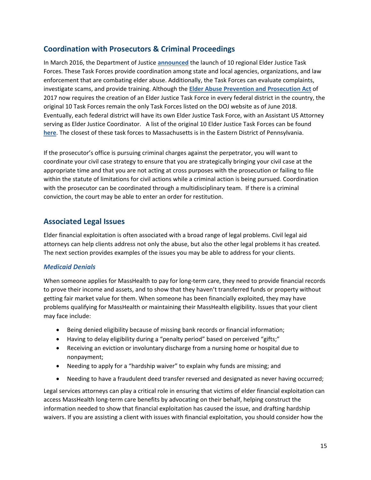# **Coordination with Prosecutors & Criminal Proceedings**

In March 2016, the Department of Justice **[announced](https://www.justice.gov/opa/pr/department-justice-launches-10-regional-elder-justice-task-forces)** the launch of 10 regional Elder Justice Task Forces. These Task Forces provide coordination among state and local agencies, organizations, and law enforcement that are combating elder abuse. Additionally, the Task Forces can evaluate complaints, investigate scams, and provide training. Although the **[Elder Abuse Prevention and Prosecution Act](https://www.congress.gov/115/bills/s178/BILLS-115s178enr.pdf)** of 2017 now requires the creation of an Elder Justice Task Force in every federal district in the country, the original 10 Task Forces remain the only Task Forces listed on the DOJ website as of June 2018. Eventually, each federal district will have its own Elder Justice Task Force, with an Assistant US Attorney serving as Elder Justice Coordinator. A list of the original 10 Elder Justice Task Forces can be found **[here](https://www.justice.gov/elderjustice/task-forces)**. The closest of these task forces to Massachusetts is in the Eastern District of Pennsylvania.

If the prosecutor's office is pursuing criminal charges against the perpetrator, you will want to coordinate your civil case strategy to ensure that you are strategically bringing your civil case at the appropriate time and that you are not acting at cross purposes with the prosecution or failing to file within the statute of limitations for civil actions while a criminal action is being pursued. Coordination with the prosecutor can be coordinated through a multidisciplinary team. If there is a criminal conviction, the court may be able to enter an order for restitution.

# **Associated Legal Issues**

Elder financial exploitation is often associated with a broad range of legal problems. Civil legal aid attorneys can help clients address not only the abuse, but also the other legal problems it has created. The next section provides examples of the issues you may be able to address for your clients.

## *Medicaid Denials*

When someone applies for MassHealth to pay for long-term care, they need to provide financial records to prove their income and assets, and to show that they haven't transferred funds or property without getting fair market value for them. When someone has been financially exploited, they may have problems qualifying for MassHealth or maintaining their MassHealth eligibility. Issues that your client may face include:

- Being denied eligibility because of missing bank records or financial information;
- Having to delay eligibility during a "penalty period" based on perceived "gifts;"
- Receiving an eviction or involuntary discharge from a nursing home or hospital due to nonpayment;
- Needing to apply for a "hardship waiver" to explain why funds are missing; and
- Needing to have a fraudulent deed transfer reversed and designated as never having occurred;

Legal services attorneys can play a critical role in ensuring that victims of elder financial exploitation can access MassHealth long-term care benefits by advocating on their behalf, helping construct the information needed to show that financial exploitation has caused the issue, and drafting hardship waivers. If you are assisting a client with issues with financial exploitation, you should consider how the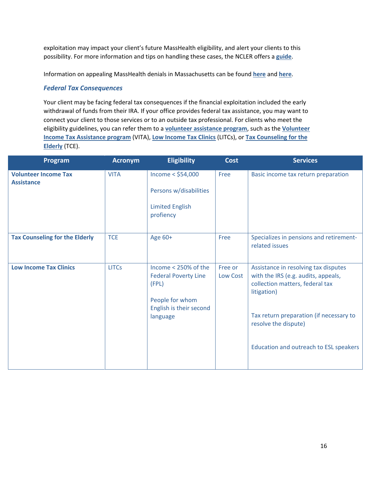exploitation may impact your client's future MassHealth eligibility, and alert your clients to this possibility. For more information and tips on handling these cases, the NCLER offers a **[guide](https://ncler.acl.gov/pdf/Elder-Financial-Abuse-and-Medicaid-Denials.pdf)**.

Information on appealing MassHealth denials in Massachusetts can be found **[here](https://www.mass.gov/how-to/how-to-appeal-a-masshealth-decision)** and **[here](https://www.mass.gov/files/documents/2017/12/21/130-cmr-610-000.pdf)**.

#### *Federal Tax Consequences*

Your client may be facing federal tax consequences if the financial exploitation included the early withdrawal of funds from their IRA. If your office provides federal tax assistance, you may want to connect your client to those services or to an outside tax professional. For clients who meet the eligibility guidelines, you can refer them to a **[volunteer assistance program](https://www.irs.gov/taxtopics/tc101)**, such as the **[Volunteer](https://www.irs.gov/individuals/free-tax-return-preparation-for-you-by-volunteers)  [Income Tax Assistance program](https://www.irs.gov/individuals/free-tax-return-preparation-for-you-by-volunteers)** (VITA), **[Low Income Tax Clinics](https://www.irs.gov/advocate/low-income-taxpayer-clinics/low-income-taxpayer-clinic-income-eligibility-guidelines)** (LITCs), or **[Tax Counseling for the](https://www.irs.gov/individuals/tax-counseling-for-the-elderly)  [Elderly](https://www.irs.gov/individuals/tax-counseling-for-the-elderly)** (TCE).

| Program                                          | <b>Acronym</b> | <b>Eligibility</b>                                                                                                     | <b>Cost</b>         | <b>Services</b>                                                                                                                                                                                                                            |
|--------------------------------------------------|----------------|------------------------------------------------------------------------------------------------------------------------|---------------------|--------------------------------------------------------------------------------------------------------------------------------------------------------------------------------------------------------------------------------------------|
| <b>Volunteer Income Tax</b><br><b>Assistance</b> | <b>VITA</b>    | Income $<$ \$54,000<br>Persons w/disabilities<br><b>Limited English</b><br>profiency                                   | Free                | Basic income tax return preparation                                                                                                                                                                                                        |
| <b>Tax Counseling for the Elderly</b>            | <b>TCE</b>     | Age 60+                                                                                                                | Free                | Specializes in pensions and retirement-<br>related issues                                                                                                                                                                                  |
| <b>Low Income Tax Clinics</b>                    | <b>LITCs</b>   | Income < 250% of the<br><b>Federal Poverty Line</b><br>(FPL)<br>People for whom<br>English is their second<br>language | Free or<br>Low Cost | Assistance in resolving tax disputes<br>with the IRS (e.g. audits, appeals,<br>collection matters, federal tax<br>litigation)<br>Tax return preparation (if necessary to<br>resolve the dispute)<br>Education and outreach to ESL speakers |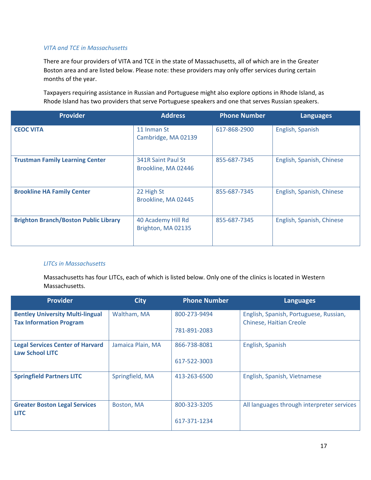#### *VITA and TCE in Massachusetts*

There are four providers of VITA and TCE in the state of Massachusetts, all of which are in the Greater Boston area and are listed below. Please note: these providers may only offer services during certain months of the year.

Taxpayers requiring assistance in Russian and Portuguese might also explore options in Rhode Island, as Rhode Island has two providers that serve Portuguese speakers and one that serves Russian speakers.

| <b>Provider</b>                              | <b>Address</b>                            | <b>Phone Number</b> | <b>Languages</b>          |
|----------------------------------------------|-------------------------------------------|---------------------|---------------------------|
| <b>CEOC VITA</b>                             | 11 Inman St<br>Cambridge, MA 02139        | 617-868-2900        | English, Spanish          |
| <b>Trustman Family Learning Center</b>       | 341R Saint Paul St<br>Brookline, MA 02446 | 855-687-7345        | English, Spanish, Chinese |
| <b>Brookline HA Family Center</b>            | 22 High St<br>Brookline, MA 02445         | 855-687-7345        | English, Spanish, Chinese |
| <b>Brighton Branch/Boston Public Library</b> | 40 Academy Hill Rd<br>Brighton, MA 02135  | 855-687-7345        | English, Spanish, Chinese |

#### *LITCs in Massachusetts*

Massachusetts has four LITCs, each of which is listed below. Only one of the clinics is located in Western Massachusetts.

| <b>Provider</b>                                                           | <b>City</b>       | <b>Phone Number</b> | <b>Languages</b>                                                         |
|---------------------------------------------------------------------------|-------------------|---------------------|--------------------------------------------------------------------------|
| <b>Bentley University Multi-lingual</b><br><b>Tax Information Program</b> | Waltham, MA       | 800-273-9494        | English, Spanish, Portuguese, Russian,<br><b>Chinese, Haitian Creole</b> |
|                                                                           |                   | 781-891-2083        |                                                                          |
| <b>Legal Services Center of Harvard</b><br><b>Law School LITC</b>         | Jamaica Plain, MA | 866-738-8081        | English, Spanish                                                         |
|                                                                           |                   | 617-522-3003        |                                                                          |
| <b>Springfield Partners LITC</b>                                          | Springfield, MA   | 413-263-6500        | English, Spanish, Vietnamese                                             |
| <b>Greater Boston Legal Services</b><br><b>LITC</b>                       | Boston, MA        | 800-323-3205        | All languages through interpreter services                               |
|                                                                           |                   | 617-371-1234        |                                                                          |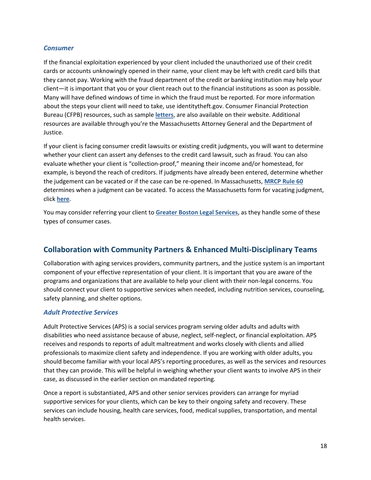#### *Consumer*

If the financial exploitation experienced by your client included the unauthorized use of their credit cards or accounts unknowingly opened in their name, your client may be left with credit card bills that they cannot pay. Working with the fraud department of the credit or banking institution may help your client—it is important that you or your client reach out to the financial institutions as soon as possible. Many will have defined windows of time in which the fraud must be reported. For more information about the steps your client will need to take, use identitytheft.gov. Consumer Financial Protection Bureau (CFPB) resources, such as sample **[letters](https://www.consumerfinance.gov/consumer-tools/credit-reports-and-scores/sample-letters-dispute-credit-report-information/)**, are also available on their website. Additional resources are available through you're the Massachusetts Attorney General and the Department of Justice.

If your client is facing consumer credit lawsuits or existing credit judgments, you will want to determine whether your client can assert any defenses to the credit card lawsuit, such as fraud. You can also evaluate whether your client is "collection-proof," meaning their income and/or homestead, for example, is beyond the reach of creditors. If judgments have already been entered, determine whether the judgement can be vacated or if the case can be re-opened. In Massachusetts, **MRCP Rule 60** determines when a judgment can be vacated. To access the Massachusetts form for vacating judgment, click **[here](https://www.mass.gov/files/documents/2016/08/rw/generalpurposemotion.pdf)**.

You may consider referring your client to **[Greater Boston Legal Services](https://www.gbls.org/)**, as they handle some of these types of consumer cases.

# **Collaboration with Community Partners & Enhanced Multi-Disciplinary Teams**

Collaboration with aging services providers, community partners, and the justice system is an important component of your effective representation of your client. It is important that you are aware of the programs and organizations that are available to help your client with their non-legal concerns. You should connect your client to supportive services when needed, including nutrition services, counseling, safety planning, and shelter options.

#### *Adult Protective Services*

Adult Protective Services (APS) is a social services program serving older adults and adults with disabilities who need assistance because of abuse, neglect, self-neglect, or financial exploitation. APS receives and responds to reports of adult maltreatment and works closely with clients and allied professionals to maximize client safety and independence. If you are working with older adults, you should become familiar with your local APS's reporting procedures, as well as the services and resources that they can provide. This will be helpful in weighing whether your client wants to involve APS in their case, as discussed in the earlier section on mandated reporting.

Once a report is substantiated, APS and other senior services providers can arrange for myriad supportive services for your clients, which can be key to their ongoing safety and recovery. These services can include housing, health care services, food, medical supplies, transportation, and mental health services.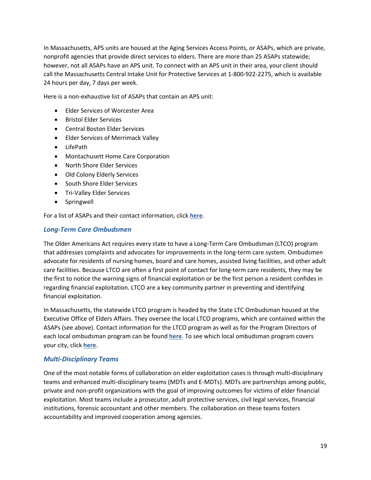In Massachusetts, APS units are housed at the Aging Services Access Points, or ASAPs, which are private, nonprofit agencies that provide direct services to elders. There are more than 25 ASAPs statewide; however, not all ASAPs have an APS unit. To connect with an APS unit in their area, your client should call the Massachusetts Central Intake Unit for Protective Services at 1-800-922-2275, which is available 24 hours per day, 7 days per week.

Here is a non-exhaustive list of ASAPs that contain an APS unit:

- Elder Services of Worcester Area
- Bristol Elder Services
- Central Boston Elder Services
- Elder Services of Merrimack Valley
- LifePath
- Montachusett Home Care Corporation
- North Shore Elder Services
- Old Colony Elderly Services
- South Shore Elder Services
- Tri-Valley Elder Services
- Springwell

For a list of ASAPs and their contact information, click **[here](http://www.eap.partners.org/Worklife/ElderCare/Resources/MassachusettsAgingServiceAccesPoints.asp)**.

#### *Long-Term Care Ombudsmen*

The Older Americans Act requires every state to have a Long-Term Care Ombudsman (LTCO) program that addresses complaints and advocates for improvements in the long-term care system. Ombudsmen advocate for residents of nursing homes, board and care homes, assisted living facilities, and other adult care facilities. Because LTCO are often a first point of contact for long-term care residents, they may be the first to notice the warning signs of financial exploitation or be the first person a resident confides in regarding financial exploitation. LTCO are a key community partner in preventing and identifying financial exploitation.

In Massachusetts, the statewide LTCO program is headed by the State LTC Ombudsman housed at the Executive Office of Elders Affairs. They oversee the local LTCO programs, which are contained within the ASAPs (see above). Contact information for the LTCO program as well as for the Program Directors of each local ombudsman program can be found **[here](http://theconsumervoice.org/get_help/state_resources/ma)**. To see which local ombudsman program covers your city, click **[here](https://www.mass.gov/files/2017-08/ltc-ombudsman-contact_0.pdf)**.

#### *Multi-Disciplinary Teams*

One of the most notable forms of collaboration on elder exploitation cases is through multi-disciplinary teams and enhanced multi-disciplinary teams (MDTs and E-MDTs). MDTs are partnerships among public, private and non-profit organizations with the goal of improving outcomes for victims of elder financial exploitation. Most teams include a prosecutor, adult protective services, civil legal services, financial institutions, forensic accountant and other members. The collaboration on these teams fosters accountability and improved cooperation among agencies.